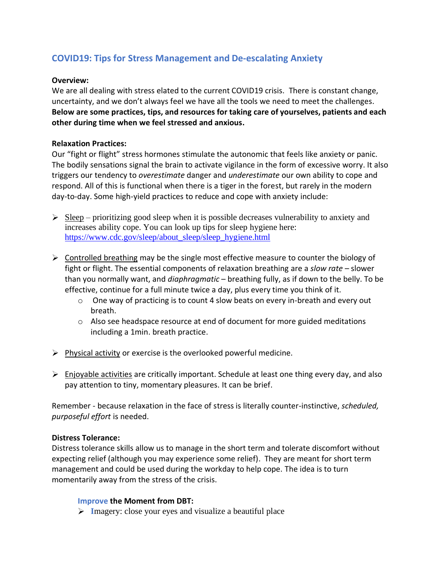# **COVID19: Tips for Stress Management and De-escalating Anxiety**

# **Overview:**

We are all dealing with stress elated to the current COVID19 crisis. There is constant change, uncertainty, and we don't always feel we have all the tools we need to meet the challenges. **Below are some practices, tips, and resources for taking care of yourselves, patients and each other during time when we feel stressed and anxious.** 

# **Relaxation Practices:**

Our "fight or flight" stress hormones stimulate the autonomic that feels like anxiety or panic. The bodily sensations signal the brain to activate vigilance in the form of excessive worry. It also triggers our tendency to *overestimate* danger and *underestimate* our own ability to cope and respond. All of this is functional when there is a tiger in the forest, but rarely in the modern day-to-day. Some high-yield practices to reduce and cope with anxiety include:

- $\triangleright$  Sleep prioritizing good sleep when it is possible decreases vulnerability to anxiety and increases ability cope. You can look up tips for sleep hygiene here: [https://www.cdc.gov/sleep/about\\_sleep/sleep\\_hygiene.html](https://www.cdc.gov/sleep/about_sleep/sleep_hygiene.html)
- $\triangleright$  Controlled breathing may be the single most effective measure to counter the biology of fight or flight. The essential components of relaxation breathing are a *slow rate* – slower than you normally want, and *diaphragmatic* – breathing fully, as if down to the belly. To be effective, continue for a full minute twice a day, plus every time you think of it.
	- $\circ$  One way of practicing is to count 4 slow beats on every in-breath and every out breath.
	- $\circ$  Also see headspace resource at end of document for more guided meditations including a 1min. breath practice.
- $\triangleright$  Physical activity or exercise is the overlooked powerful medicine.
- $\triangleright$  Enjoyable activities are critically important. Schedule at least one thing every day, and also pay attention to tiny, momentary pleasures. It can be brief.

Remember - because relaxation in the face of stress is literally counter-instinctive, *scheduled, purposeful effort* is needed.

# **Distress Tolerance:**

Distress tolerance skills allow us to manage in the short term and tolerate discomfort without expecting relief (although you may experience some relief). They are meant for short term management and could be used during the workday to help cope. The idea is to turn momentarily away from the stress of the crisis.

# **Improve the Moment from DBT:**

**I**magery: close your eyes and visualize a beautiful place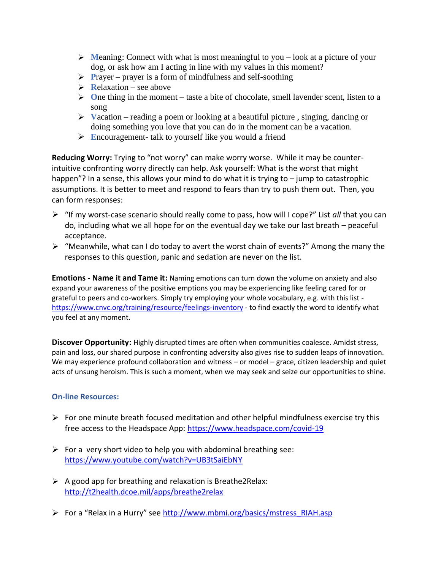- $\triangleright$  **Meaning:** Connect with what is most meaningful to you look at a picture of your dog, or ask how am I acting in line with my values in this moment?
- **Prayer** prayer is a form of mindfulness and self-soothing
- $\triangleright$  **R**elaxation see above
- **O**ne thing in the moment taste a bite of chocolate, smell lavender scent, listen to a song
- **V**acation reading a poem or looking at a beautiful picture , singing, dancing or doing something you love that you can do in the moment can be a vacation.
- **E**ncouragement- talk to yourself like you would a friend

**Reducing Worry:** Trying to "not worry" can make worry worse. While it may be counterintuitive confronting worry directly can help. Ask yourself: What is the worst that might happen"? In a sense, this allows your mind to do what it is trying to – jump to catastrophic assumptions. It is better to meet and respond to fears than try to push them out. Then, you can form responses:

- "If my worst-case scenario should really come to pass, how will I cope?" List *all* that you can do, including what we all hope for on the eventual day we take our last breath – peaceful acceptance.
- $\triangleright$  "Meanwhile, what can I do today to avert the worst chain of events?" Among the many the responses to this question, panic and sedation are never on the list.

**Emotions - Name it and Tame it:** Naming emotions can turn down the volume on anxiety and also expand your awareness of the positive emptions you may be experiencing like feeling cared for or grateful to peers and co-workers. Simply try employing your whole vocabulary, e.g. with this list <https://www.cnvc.org/training/resource/feelings-inventory> - to find exactly the word to identify what you feel at any moment.

**Discover Opportunity:** Highly disrupted times are often when communities coalesce. Amidst stress, pain and loss, our shared purpose in confronting adversity also gives rise to sudden leaps of innovation. We may experience profound collaboration and witness – or model – grace, citizen leadership and quiet acts of unsung heroism. This is such a moment, when we may seek and seize our opportunities to shine.

# **On-line Resources:**

- $\triangleright$  For one minute breath focused meditation and other helpful mindfulness exercise try this free access to the Headspace App:<https://www.headspace.com/covid-19>
- $\triangleright$  For a very short video to help you with abdominal breathing see: <https://www.youtube.com/watch?v=UB3tSaiEbNY>
- $\triangleright$  A good app for breathing and relaxation is Breathe2Relax: <http://t2health.dcoe.mil/apps/breathe2relax>
- For a "Relax in a Hurry" see [http://www.mbmi.org/basics/mstress\\_RIAH.asp](http://www.mbmi.org/basics/mstress_RIAH.asp)